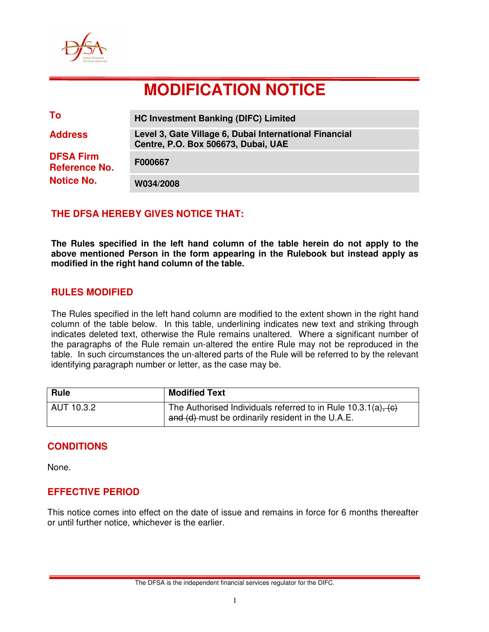

# **MODIFICATION NOTICE**

| To                                       | <b>HC Investment Banking (DIFC) Limited</b>                                                   |
|------------------------------------------|-----------------------------------------------------------------------------------------------|
| <b>Address</b>                           | Level 3, Gate Village 6, Dubai International Financial<br>Centre, P.O. Box 506673, Dubai, UAE |
| <b>DFSA Firm</b><br><b>Reference No.</b> | F000667                                                                                       |
| <b>Notice No.</b>                        | W034/2008                                                                                     |

## **THE DFSA HEREBY GIVES NOTICE THAT:**

**The Rules specified in the left hand column of the table herein do not apply to the above mentioned Person in the form appearing in the Rulebook but instead apply as modified in the right hand column of the table.** 

#### **RULES MODIFIED**

The Rules specified in the left hand column are modified to the extent shown in the right hand column of the table below. In this table, underlining indicates new text and striking through indicates deleted text, otherwise the Rule remains unaltered. Where a significant number of the paragraphs of the Rule remain un-altered the entire Rule may not be reproduced in the table. In such circumstances the un-altered parts of the Rule will be referred to by the relevant identifying paragraph number or letter, as the case may be.

| <b>Rule</b> | <b>Modified Text</b>                                                                                                  |
|-------------|-----------------------------------------------------------------------------------------------------------------------|
| AUT 10.3.2  | The Authorised Individuals referred to in Rule $10.3.1(a)$ , (c)<br>and (d) must be ordinarily resident in the U.A.E. |

#### **CONDITIONS**

None.

#### **EFFECTIVE PERIOD**

This notice comes into effect on the date of issue and remains in force for 6 months thereafter or until further notice, whichever is the earlier.